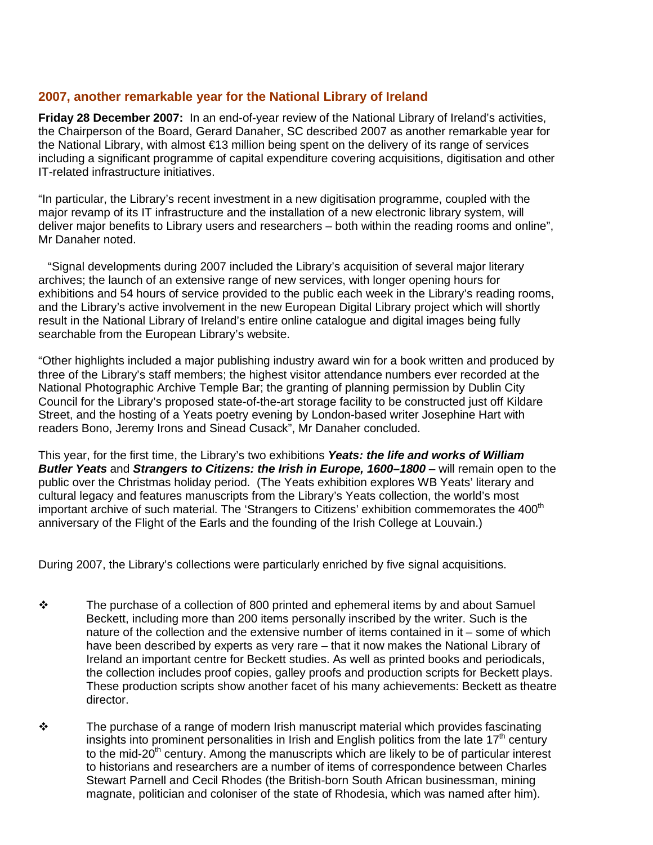# **2007, another remarkable year for the National Library of Ireland**

**Friday 28 December 2007:** In an end-of-year review of the National Library of Ireland's activities, the Chairperson of the Board, Gerard Danaher, SC described 2007 as another remarkable year for the National Library, with almost €13 million being spent on the delivery of its range of services including a significant programme of capital expenditure covering acquisitions, digitisation and other IT-related infrastructure initiatives.

"In particular, the Library's recent investment in a new digitisation programme, coupled with the major revamp of its IT infrastructure and the installation of a new electronic library system, will deliver major benefits to Library users and researchers – both within the reading rooms and online", Mr Danaher noted.

"Signal developments during 2007 included the Library's acquisition of several major literary archives; the launch of an extensive range of new services, with longer opening hours for exhibitions and 54 hours of service provided to the public each week in the Library's reading rooms, and the Library's active involvement in the new European Digital Library project which will shortly result in the National Library of Ireland's entire online catalogue and digital images being fully searchable from the European Library's website.

"Other highlights included a major publishing industry award win for a book written and produced by three of the Library's staff members; the highest visitor attendance numbers ever recorded at the National Photographic Archive Temple Bar; the granting of planning permission by Dublin City Council for the Library's proposed state-of-the-art storage facility to be constructed just off Kildare Street, and the hosting of a Yeats poetry evening by London-based writer Josephine Hart with readers Bono, Jeremy Irons and Sinead Cusack", Mr Danaher concluded.

This year, for the first time, the Library's two exhibitions *Yeats: the life and works of William Butler Yeats* and *Strangers to Citizens: the Irish in Europe, 1600–1800* – will remain open to the public over the Christmas holiday period. (The Yeats exhibition explores WB Yeats' literary and cultural legacy and features manuscripts from the Library's Yeats collection, the world's most important archive of such material. The 'Strangers to Citizens' exhibition commemorates the 400<sup>th</sup> anniversary of the Flight of the Earls and the founding of the Irish College at Louvain.)

During 2007, the Library's collections were particularly enriched by five signal acquisitions.

- $\div$  The purchase of a collection of 800 printed and ephemeral items by and about Samuel Beckett, including more than 200 items personally inscribed by the writer. Such is the nature of the collection and the extensive number of items contained in it – some of which have been described by experts as very rare – that it now makes the National Library of Ireland an important centre for Beckett studies. As well as printed books and periodicals, the collection includes proof copies, galley proofs and production scripts for Beckett plays. These production scripts show another facet of his many achievements: Beckett as theatre director.
- $\div$  The purchase of a range of modern Irish manuscript material which provides fascinating insights into prominent personalities in Irish and English politics from the late  $17<sup>th</sup>$  century to the mid-20<sup>th</sup> century. Among the manuscripts which are likely to be of particular interest to historians and researchers are a number of items of correspondence between Charles Stewart Parnell and Cecil Rhodes (the British-born South African businessman, mining magnate, politician and coloniser of the state of Rhodesia, which was named after him).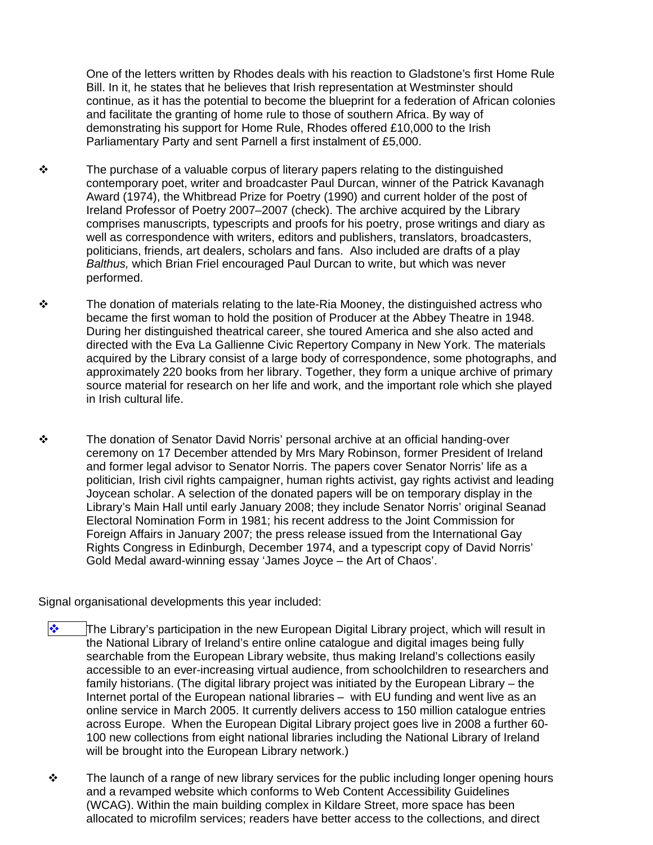One of the letters written by Rhodes deals with his reaction to Gladstone's first Home Rule Bill. In it, he states that he believes that Irish representation at Westminster should continue, as it has the potential to become the blueprint for a federation of African colonies and facilitate the granting of home rule to those of southern Africa. By way of demonstrating his support for Home Rule, Rhodes offered £10,000 to the Irish Parliamentary Party and sent Parnell a first instalment of £5,000.

- $\cdot$  The purchase of a valuable corpus of literary papers relating to the distinguished contemporary poet, writer and broadcaster Paul Durcan, winner of the Patrick Kavanagh Award (1974), the Whitbread Prize for Poetry (1990) and current holder of the post of Ireland Professor of Poetry 2007–2007 (check). The archive acquired by the Library comprises manuscripts, typescripts and proofs for his poetry, prose writings and diary as well as correspondence with writers, editors and publishers, translators, broadcasters, politicians, friends, art dealers, scholars and fans. Also included are drafts of a play *Balthus,* which Brian Friel encouraged Paul Durcan to write, but which was never performed.
- \* The donation of materials relating to the late-Ria Mooney, the distinguished actress who became the first woman to hold the position of Producer at the Abbey Theatre in 1948. During her distinguished theatrical career, she toured America and she also acted and directed with the Eva La Gallienne Civic Repertory Company in New York. The materials acquired by the Library consist of a large body of correspondence, some photographs, and approximately 220 books from her library. Together, they form a unique archive of primary source material for research on her life and work, and the important role which she played in Irish cultural life.
- \* The donation of Senator David Norris' personal archive at an official handing-over ceremony on 17 December attended by Mrs Mary Robinson, former President of Ireland and former legal advisor to Senator Norris. The papers cover Senator Norris' life as a politician, Irish civil rights campaigner, human rights activist, gay rights activist and leading Joycean scholar. A selection of the donated papers will be on temporary display in the Library's Main Hall until early January 2008; they include Senator Norris' original Seanad Electoral Nomination Form in 1981; his recent address to the Joint Commission for Foreign Affairs in January 2007; the press release issued from the International Gay Rights Congress in Edinburgh, December 1974, and a typescript copy of David Norris' Gold Medal award-winning essay 'James Joyce – the Art of Chaos'.

Signal organisational developments this year included:

- $\clubsuit$  The Library's participation in the new European Digital Library project, which will result in the National Library of Ireland's entire online catalogue and digital images being fully searchable from the European Library website, thus making Ireland's collections easily accessible to an ever-increasing virtual audience, from schoolchildren to researchers and family historians. (The digital library project was initiated by the European Library – the Internet portal of the European national libraries – with EU funding and went live as an online service in March 2005. It currently delivers access to 150 million catalogue entries across Europe. When the European Digital Library project goes live in 2008 a further 60- 100 new collections from eight national libraries including the National Library of Ireland will be brought into the European Library network.)
- $\div$  The launch of a range of new library services for the public including longer opening hours and a revamped website which conforms to Web Content Accessibility Guidelines (WCAG). Within the main building complex in Kildare Street, more space has been allocated to microfilm services; readers have better access to the collections, and direct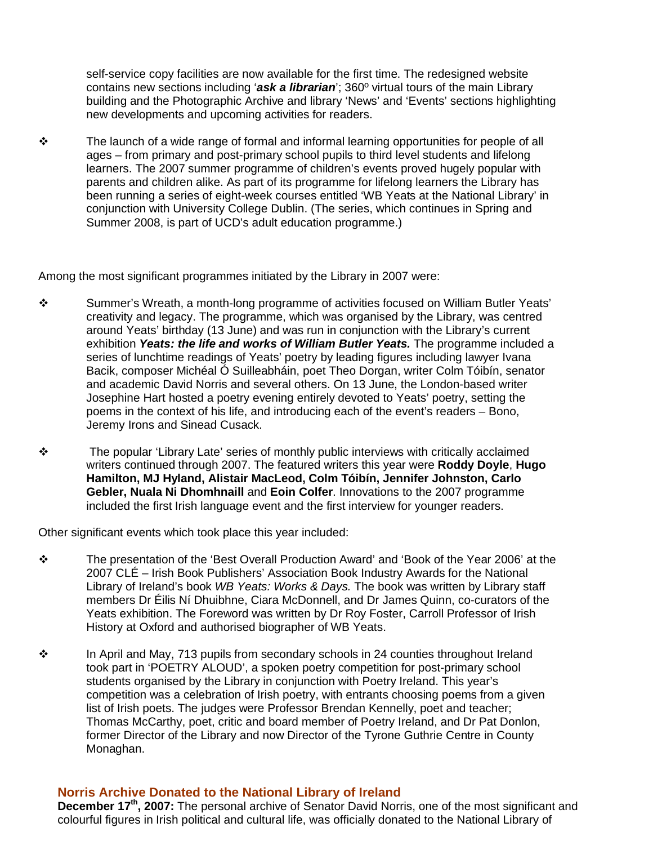self-service copy facilities are now available for the first time. The redesigned website contains new sections including '*ask a librarian*'; 360º virtual tours of the main Library building and the Photographic Archive and library 'News' and 'Events' sections highlighting new developments and upcoming activities for readers.

 $\div$  The launch of a wide range of formal and informal learning opportunities for people of all ages – from primary and post-primary school pupils to third level students and lifelong learners. The 2007 summer programme of children's events proved hugely popular with parents and children alike. As part of its programme for lifelong learners the Library has been running a series of eight-week courses entitled 'WB Yeats at the National Library' in conjunction with University College Dublin. (The series, which continues in Spring and Summer 2008, is part of UCD's adult education programme.)

Among the most significant programmes initiated by the Library in 2007 were:

- Summer's Wreath, a month-long programme of activities focused on William Butler Yeats' creativity and legacy. The programme, which was organised by the Library, was centred around Yeats' birthday (13 June) and was run in conjunction with the Library's current exhibition *Yeats: the life and works of William Butler Yeats.* The programme included a series of lunchtime readings of Yeats' poetry by leading figures including lawyer Ivana Bacik, composer Michéal Ó Suilleabháin, poet Theo Dorgan, writer Colm Tóibín, senator and academic David Norris and several others. On 13 June, the London-based writer Josephine Hart hosted a poetry evening entirely devoted to Yeats' poetry, setting the poems in the context of his life, and introducing each of the event's readers – Bono, Jeremy Irons and Sinead Cusack.
- \* The popular 'Library Late' series of monthly public interviews with critically acclaimed writers continued through 2007. The featured writers this year were **Roddy Doyle**, **Hugo Hamilton, MJ Hyland, Alistair MacLeod, Colm Tóibín, Jennifer Johnston, Carlo Gebler, Nuala Ni Dhomhnaill** and **Eoin Colfer**. Innovations to the 2007 programme included the first Irish language event and the first interview for younger readers.

Other significant events which took place this year included:

- The presentation of the 'Best Overall Production Award' and 'Book of the Year 2006' at the 2007 CLÉ – Irish Book Publishers' Association Book Industry Awards for the National Library of Ireland's book *WB Yeats: Works & Days.* The book was written by Library staff members Dr Éilis Ní Dhuibhne, Ciara McDonnell, and Dr James Quinn, co-curators of the Yeats exhibition. The Foreword was written by Dr Roy Foster, Carroll Professor of Irish History at Oxford and authorised biographer of WB Yeats.
- $\div$  In April and May, 713 pupils from secondary schools in 24 counties throughout Ireland took part in 'POETRY ALOUD', a spoken poetry competition for post-primary school students organised by the Library in conjunction with Poetry Ireland. This year's competition was a celebration of Irish poetry, with entrants choosing poems from a given list of Irish poets. The judges were Professor Brendan Kennelly, poet and teacher; Thomas McCarthy, poet, critic and board member of Poetry Ireland, and Dr Pat Donlon, former Director of the Library and now Director of the Tyrone Guthrie Centre in County Monaghan.

## **Norris Archive Donated to the National Library of Ireland**

December 17<sup>th</sup>, 2007: The personal archive of Senator David Norris, one of the most significant and colourful figures in Irish political and cultural life, was officially donated to the National Library of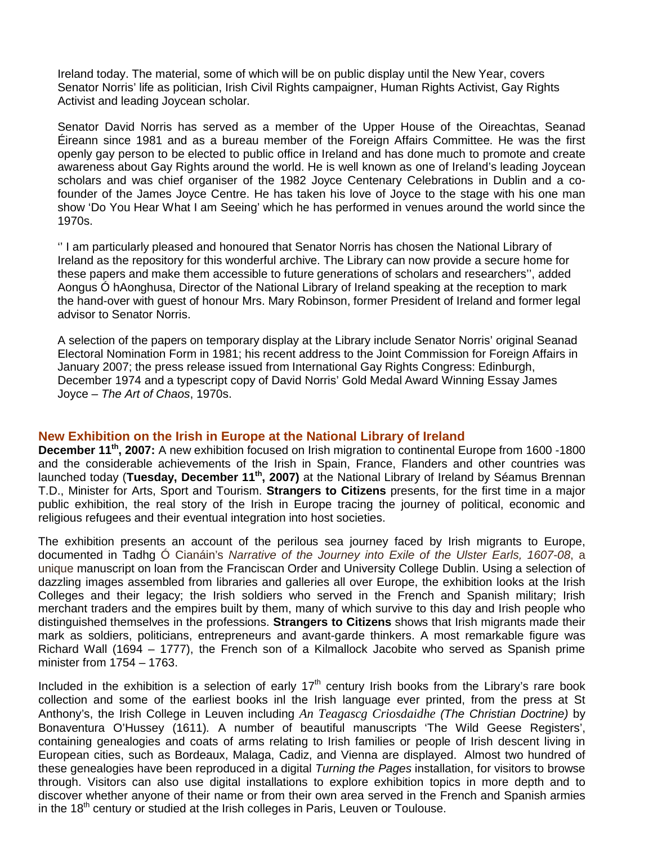Ireland today. The material, some of which will be on public display until the New Year, covers Senator Norris' life as politician, Irish Civil Rights campaigner, Human Rights Activist, Gay Rights Activist and leading Joycean scholar.

Senator David Norris has served as a member of the Upper House of the Oireachtas, Seanad Éireann since 1981 and as a bureau member of the Foreign Affairs Committee. He was the first openly gay person to be elected to public office in Ireland and has done much to promote and create awareness about Gay Rights around the world. He is well known as one of Ireland's leading Joycean scholars and was chief organiser of the 1982 Joyce Centenary Celebrations in Dublin and a cofounder of the James Joyce Centre. He has taken his love of Joyce to the stage with his one man show 'Do You Hear What I am Seeing' which he has performed in venues around the world since the 1970s.

'' I am particularly pleased and honoured that Senator Norris has chosen the National Library of Ireland as the repository for this wonderful archive. The Library can now provide a secure home for these papers and make them accessible to future generations of scholars and researchers'', added Aongus Ó hAonghusa, Director of the National Library of Ireland speaking at the reception to mark the hand-over with guest of honour Mrs. Mary Robinson, former President of Ireland and former legal advisor to Senator Norris.

A selection of the papers on temporary display at the Library include Senator Norris' original Seanad Electoral Nomination Form in 1981; his recent address to the Joint Commission for Foreign Affairs in January 2007; the press release issued from International Gay Rights Congress: Edinburgh, December 1974 and a typescript copy of David Norris' Gold Medal Award Winning Essay James Joyce – *The Art of Chaos*, 1970s.

## **New Exhibition on the Irish in Europe at the National Library of Ireland**

**December 11<sup>th</sup>, 2007:** A new exhibition focused on Irish migration to continental Europe from 1600 -1800 and the considerable achievements of the Irish in Spain, France, Flanders and other countries was launched today (**Tuesday, December 11th, 2007)** at the National Library of Ireland by Séamus Brennan T.D., Minister for Arts, Sport and Tourism. **Strangers to Citizens** presents, for the first time in a major public exhibition, the real story of the Irish in Europe tracing the journey of political, economic and religious refugees and their eventual integration into host societies.

The exhibition presents an account of the perilous sea journey faced by Irish migrants to Europe, documented in Tadhg Ó Cianáin's *Narrative of the Journey into Exile of the Ulster Earls, 1607-08*, a unique manuscript on loan from the Franciscan Order and University College Dublin. Using a selection of dazzling images assembled from libraries and galleries all over Europe, the exhibition looks at the Irish Colleges and their legacy; the Irish soldiers who served in the French and Spanish military; Irish merchant traders and the empires built by them, many of which survive to this day and Irish people who distinguished themselves in the professions. **Strangers to Citizens** shows that Irish migrants made their mark as soldiers, politicians, entrepreneurs and avant-garde thinkers. A most remarkable figure was Richard Wall (1694 – 1777), the French son of a Kilmallock Jacobite who served as Spanish prime minister from 1754 – 1763.

Included in the exhibition is a selection of early 17<sup>th</sup> century Irish books from the Library's rare book collection and some of the earliest books inl the Irish language ever printed, from the press at St Anthony's, the Irish College in Leuven including *An Teagascg Criosdaidhe (The Christian Doctrine)* by Bonaventura O'Hussey (1611)*.* A number of beautiful manuscripts 'The Wild Geese Registers', containing genealogies and coats of arms relating to Irish families or people of Irish descent living in European cities, such as Bordeaux, Malaga, Cadiz, and Vienna are displayed. Almost two hundred of these genealogies have been reproduced in a digital *Turning the Pages* installation, for visitors to browse through. Visitors can also use digital installations to explore exhibition topics in more depth and to discover whether anyone of their name or from their own area served in the French and Spanish armies in the  $18<sup>th</sup>$  century or studied at the Irish colleges in Paris, Leuven or Toulouse.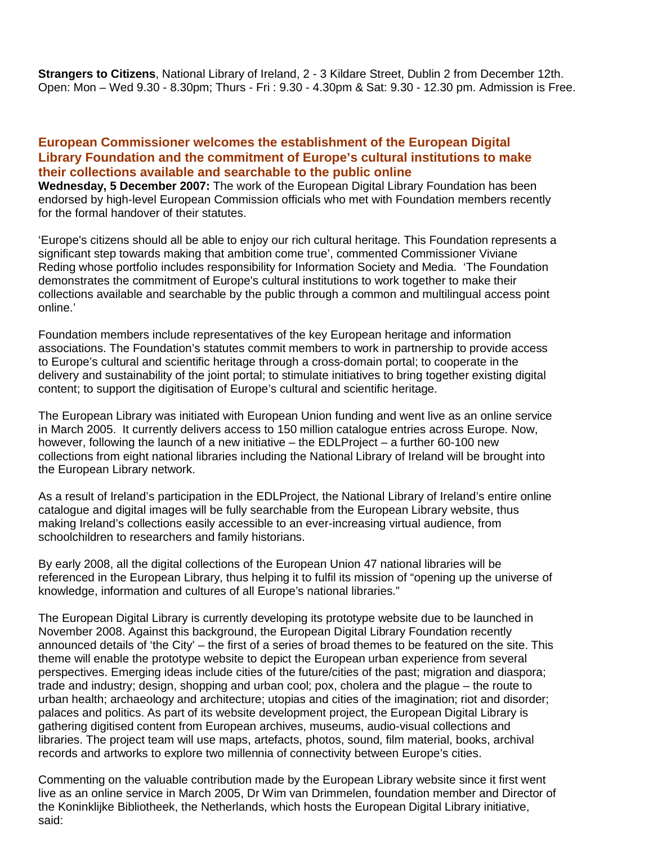**Strangers to Citizens**, National Library of Ireland, 2 - 3 Kildare Street, Dublin 2 from December 12th. Open: Mon – Wed 9.30 - 8.30pm; Thurs - Fri : 9.30 - 4.30pm & Sat: 9.30 - 12.30 pm. Admission is Free.

## **European Commissioner welcomes the establishment of the European Digital Library Foundation and the commitment of Europe's cultural institutions to make their collections available and searchable to the public online**

**Wednesday, 5 December 2007:** The work of the European Digital Library Foundation has been endorsed by high-level European Commission officials who met with Foundation members recently for the formal handover of their statutes.

'Europe's citizens should all be able to enjoy our rich cultural heritage. This Foundation represents a significant step towards making that ambition come true', commented Commissioner Viviane Reding whose portfolio includes responsibility for Information Society and Media. 'The Foundation demonstrates the commitment of Europe's cultural institutions to work together to make their collections available and searchable by the public through a common and multilingual access point online.'

Foundation members include representatives of the key European heritage and information associations. The Foundation's statutes commit members to work in partnership to provide access to Europe's cultural and scientific heritage through a cross-domain portal; to cooperate in the delivery and sustainability of the joint portal; to stimulate initiatives to bring together existing digital content; to support the digitisation of Europe's cultural and scientific heritage.

The European Library was initiated with European Union funding and went live as an online service in March 2005. It currently delivers access to 150 million catalogue entries across Europe. Now. however, following the launch of a new initiative – the EDLProject – a further 60-100 new collections from eight national libraries including the National Library of Ireland will be brought into the European Library network.

As a result of Ireland's participation in the EDLProject, the National Library of Ireland's entire online catalogue and digital images will be fully searchable from the European Library website, thus making Ireland's collections easily accessible to an ever-increasing virtual audience, from schoolchildren to researchers and family historians.

By early 2008, all the digital collections of the European Union 47 national libraries will be referenced in the European Library, thus helping it to fulfil its mission of "opening up the universe of knowledge, information and cultures of all Europe's national libraries."

The European Digital Library is currently developing its prototype website due to be launched in November 2008. Against this background, the European Digital Library Foundation recently announced details of 'the City' – the first of a series of broad themes to be featured on the site. This theme will enable the prototype website to depict the European urban experience from several perspectives. Emerging ideas include cities of the future/cities of the past; migration and diaspora; trade and industry; design, shopping and urban cool; pox, cholera and the plague – the route to urban health; archaeology and architecture; utopias and cities of the imagination; riot and disorder; palaces and politics. As part of its website development project, the European Digital Library is gathering digitised content from European archives, museums, audio-visual collections and libraries. The project team will use maps, artefacts, photos, sound, film material, books, archival records and artworks to explore two millennia of connectivity between Europe's cities.

Commenting on the valuable contribution made by the European Library website since it first went live as an online service in March 2005, Dr Wim van Drimmelen, foundation member and Director of the Koninklijke Bibliotheek, the Netherlands, which hosts the European Digital Library initiative, said: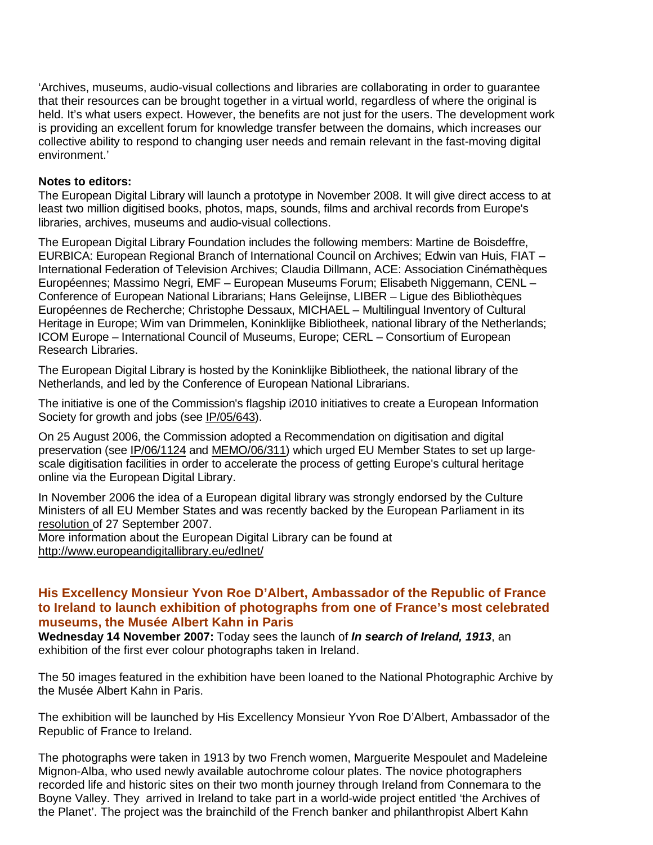'Archives, museums, audio-visual collections and libraries are collaborating in order to guarantee that their resources can be brought together in a virtual world, regardless of where the original is held. It's what users expect. However, the benefits are not just for the users. The development work is providing an excellent forum for knowledge transfer between the domains, which increases our collective ability to respond to changing user needs and remain relevant in the fast-moving digital environment.'

#### **Notes to editors:**

The European Digital Library will launch a prototype in November 2008. It will give direct access to at least two million digitised books, photos, maps, sounds, films and archival records from Europe's libraries, archives, museums and audio-visual collections.

The European Digital Library Foundation includes the following members: Martine de Boisdeffre, EURBICA: European Regional Branch of International Council on Archives; Edwin van Huis, FIAT – International Federation of Television Archives; Claudia Dillmann, ACE: Association Cinémathèques Européennes; Massimo Negri, EMF – European Museums Forum; Elisabeth Niggemann, CENL – Conference of European National Librarians; Hans Geleijnse, LIBER – Ligue des Bibliothèques Européennes de Recherche; Christophe Dessaux, MICHAEL – Multilingual Inventory of Cultural Heritage in Europe; Wim van Drimmelen, Koninklijke Bibliotheek, national library of the Netherlands; ICOM Europe – International Council of Museums, Europe; CERL – Consortium of European Research Libraries.

The European Digital Library is hosted by the Koninklijke Bibliotheek, the national library of the Netherlands, and led by the Conference of European National Librarians.

The initiative is one of the Commission's flagship i2010 initiatives to create a European Information Society for growth and jobs (see IP/05/643).

On 25 August 2006, the Commission adopted a Recommendation on digitisation and digital preservation (see IP/06/1124 and MEMO/06/311) which urged EU Member States to set up largescale digitisation facilities in order to accelerate the process of getting Europe's cultural heritage online via the European Digital Library.

In November 2006 the idea of a European digital library was strongly endorsed by the Culture Ministers of all EU Member States and was recently backed by the European Parliament in its resolution of 27 September 2007.

More information about the European Digital Library can be found at http://www.europeandigitallibrary.eu/edlnet/

## **His Excellency Monsieur Yvon Roe D'Albert, Ambassador of the Republic of France to Ireland to launch exhibition of photographs from one of France's most celebrated museums, the Musée Albert Kahn in Paris**

**Wednesday 14 November 2007:** Today sees the launch of *In search of Ireland, 1913*, an exhibition of the first ever colour photographs taken in Ireland.

The 50 images featured in the exhibition have been loaned to the National Photographic Archive by the Musée Albert Kahn in Paris.

The exhibition will be launched by His Excellency Monsieur Yvon Roe D'Albert, Ambassador of the Republic of France to Ireland.

The photographs were taken in 1913 by two French women, Marguerite Mespoulet and Madeleine Mignon-Alba, who used newly available autochrome colour plates. The novice photographers recorded life and historic sites on their two month journey through Ireland from Connemara to the Boyne Valley. They arrived in Ireland to take part in a world-wide project entitled 'the Archives of the Planet'. The project was the brainchild of the French banker and philanthropist Albert Kahn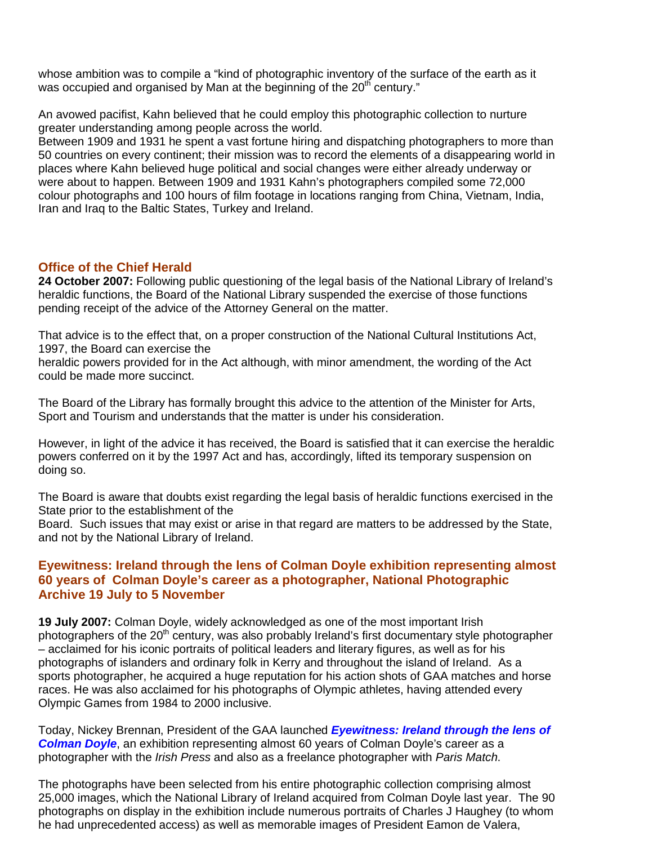whose ambition was to compile a "kind of photographic inventory of the surface of the earth as it was occupied and organised by Man at the beginning of the  $20<sup>th</sup>$  century."

An avowed pacifist, Kahn believed that he could employ this photographic collection to nurture greater understanding among people across the world.

Between 1909 and 1931 he spent a vast fortune hiring and dispatching photographers to more than 50 countries on every continent; their mission was to record the elements of a disappearing world in places where Kahn believed huge political and social changes were either already underway or were about to happen. Between 1909 and 1931 Kahn's photographers compiled some 72,000 colour photographs and 100 hours of film footage in locations ranging from China, Vietnam, India, Iran and Iraq to the Baltic States, Turkey and Ireland.

## **Office of the Chief Herald**

**24 October 2007:** Following public questioning of the legal basis of the National Library of Ireland's heraldic functions, the Board of the National Library suspended the exercise of those functions pending receipt of the advice of the Attorney General on the matter.

That advice is to the effect that, on a proper construction of the National Cultural Institutions Act, 1997, the Board can exercise the

heraldic powers provided for in the Act although, with minor amendment, the wording of the Act could be made more succinct.

The Board of the Library has formally brought this advice to the attention of the Minister for Arts, Sport and Tourism and understands that the matter is under his consideration.

However, in light of the advice it has received, the Board is satisfied that it can exercise the heraldic powers conferred on it by the 1997 Act and has, accordingly, lifted its temporary suspension on doing so.

The Board is aware that doubts exist regarding the legal basis of heraldic functions exercised in the State prior to the establishment of the

Board. Such issues that may exist or arise in that regard are matters to be addressed by the State, and not by the National Library of Ireland.

# **Eyewitness: Ireland through the lens of Colman Doyle exhibition representing almost 60 years of Colman Doyle's career as a photographer, National Photographic Archive 19 July to 5 November**

**19 July 2007:** Colman Doyle, widely acknowledged as one of the most important Irish photographers of the 20<sup>th</sup> century, was also probably Ireland's first documentary style photographer – acclaimed for his iconic portraits of political leaders and literary figures, as well as for his photographs of islanders and ordinary folk in Kerry and throughout the island of Ireland.As a sports photographer, he acquired a huge reputation for his action shots of GAA matches and horse races. He was also acclaimed for his photographs of Olympic athletes, having attended every Olympic Games from 1984 to 2000 inclusive.

Today, Nickey Brennan, President of the GAA launched *Eyewitness: Ireland through the lens of Colman Doyle*, an exhibition representing almost 60 years of Colman Doyle's career as a photographer with the *Irish Press* and also as a freelance photographer with *Paris Match*.

The photographs have been selected from his entire photographic collection comprising almost 25,000 images, which the National Library of Ireland acquired from Colman Doyle last year. The 90 photographs on display in the exhibition include numerous portraits of Charles J Haughey (to whom he had unprecedented access) as well as memorable images of President Eamon de Valera,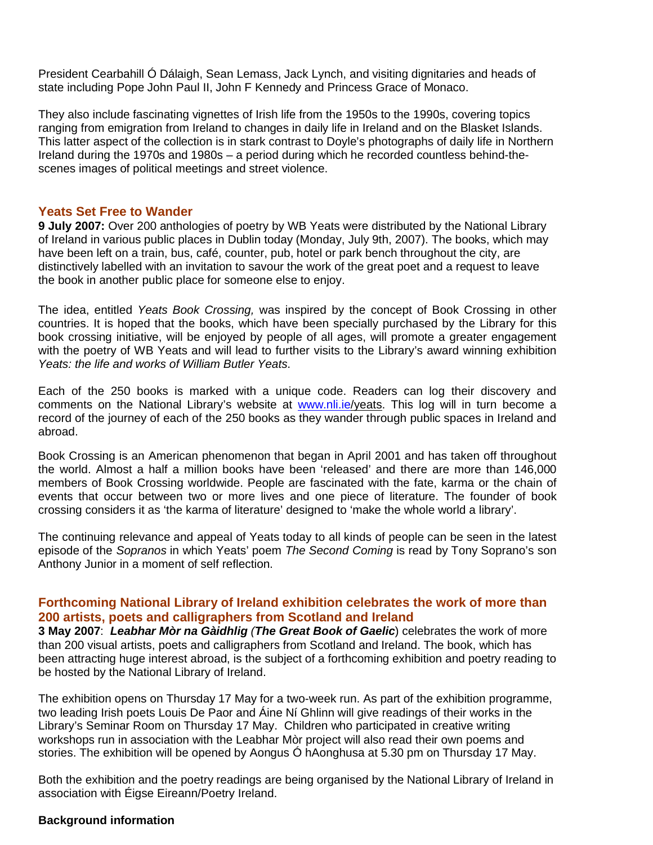President Cearbahill Ó Dálaigh, Sean Lemass, Jack Lynch, and visiting dignitaries and heads of state including Pope John Paul II, John F Kennedy and Princess Grace of Monaco.

They also include fascinating vignettes of Irish life from the 1950s to the 1990s, covering topics ranging from emigration from Ireland to changes in daily life in Ireland and on the Blasket Islands. This latter aspect of the collection is in stark contrast to Doyle's photographs of daily life in Northern Ireland during the 1970s and 1980s – a period during which he recorded countless behind-thescenes images of political meetings and street violence.

#### **Yeats Set Free to Wander**

**9 July 2007:** Over 200 anthologies of poetry by WB Yeats were distributed by the National Library of Ireland in various public places in Dublin today (Monday, July 9th, 2007). The books, which may have been left on a train, bus, café, counter, pub, hotel or park bench throughout the city, are distinctively labelled with an invitation to savour the work of the great poet and a request to leave the book in another public place for someone else to enjoy.

The idea, entitled *Yeats Book Crossing,* was inspired by the concept of Book Crossing in other countries. It is hoped that the books, which have been specially purchased by the Library for this book crossing initiative, will be enjoyed by people of all ages, will promote a greater engagement with the poetry of WB Yeats and will lead to further visits to the Library's award winning exhibition *Yeats: the life and works of William Butler Yeats*.

Each of the 250 books is marked with a unique code. Readers can log their discovery and comments on the National Library's website at www.nli.ie/yeats. This log will in turn become a record of the journey of each of the 250 books as they wander through public spaces in Ireland and abroad.

Book Crossing is an American phenomenon that began in April 2001 and has taken off throughout the world. Almost a half a million books have been 'released' and there are more than 146,000 members of Book Crossing worldwide. People are fascinated with the fate, karma or the chain of events that occur between two or more lives and one piece of literature. The founder of book crossing considers it as 'the karma of literature' designed to 'make the whole world a library'.

The continuing relevance and appeal of Yeats today to all kinds of people can be seen in the latest episode of the *Sopranos* in which Yeats' poem *The Second Coming* is read by Tony Soprano's son Anthony Junior in a moment of self reflection.

## **Forthcoming National Library of Ireland exhibition celebrates the work of more than 200 artists, poets and calligraphers from Scotland and Ireland**

**3 May 2007**: *Leabhar Mòr na Gàidhlig (The Great Book of Gaelic*) celebrates the work of more than 200 visual artists, poets and calligraphers from Scotland and Ireland. The book, which has been attracting huge interest abroad, is the subject of a forthcoming exhibition and poetry reading to be hosted by the National Library of Ireland.

The exhibition opens on Thursday 17 May for a two-week run. As part of the exhibition programme, two leading Irish poets Louis De Paor and Áine Ní Ghlinn will give readings of their works in the Library's Seminar Room on Thursday 17 May. Children who participated in creative writing workshops run in association with the Leabhar Mòr project will also read their own poems and stories. The exhibition will be opened by Aongus Ó hAonghusa at 5.30 pm on Thursday 17 May.

Both the exhibition and the poetry readings are being organised by the National Library of Ireland in association with Éigse Eireann/Poetry Ireland.

#### **Background information**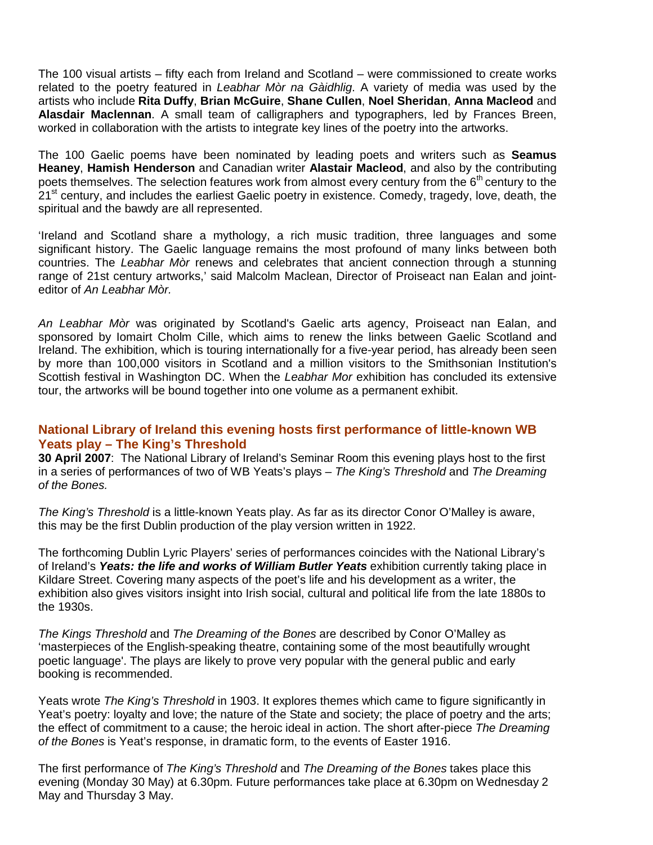The 100 visual artists – fifty each from Ireland and Scotland – were commissioned to create works related to the poetry featured in *Leabhar Mòr na Gàidhlig*. A variety of media was used by the artists who include **Rita Duffy**, **Brian McGuire**, **Shane Cullen**, **Noel Sheridan**, **Anna Macleod** and **Alasdair Maclennan**. A small team of calligraphers and typographers, led by Frances Breen, worked in collaboration with the artists to integrate key lines of the poetry into the artworks.

The 100 Gaelic poems have been nominated by leading poets and writers such as **Seamus Heaney**, **Hamish Henderson** and Canadian writer **Alastair Macleod**, and also by the contributing poets themselves. The selection features work from almost every century from the  $6<sup>th</sup>$  century to the 21<sup>st</sup> century, and includes the earliest Gaelic poetry in existence. Comedy, tragedy, love, death, the spiritual and the bawdy are all represented.

'Ireland and Scotland share a mythology, a rich music tradition, three languages and some significant history. The Gaelic language remains the most profound of many links between both countries. The *Leabhar Mòr* renews and celebrates that ancient connection through a stunning range of 21st century artworks,' said Malcolm Maclean, Director of Proiseact nan Ealan and jointeditor of *An Leabhar Mòr.*

*An Leabhar Mòr* was originated by Scotland's Gaelic arts agency, Proiseact nan Ealan, and sponsored by Iomairt Cholm Cille, which aims to renew the links between Gaelic Scotland and Ireland. The exhibition, which is touring internationally for a five-year period, has already been seen by more than 100,000 visitors in Scotland and a million visitors to the Smithsonian Institution's Scottish festival in Washington DC. When the *Leabhar Mor* exhibition has concluded its extensive tour, the artworks will be bound together into one volume as a permanent exhibit.

## **National Library of Ireland this evening hosts first performance of little-known WB Yeats play – The King's Threshold**

**30 April 2007**: The National Library of Ireland's Seminar Room this evening plays host to the first in a series of performances of two of WB Yeats's plays – *The King's Threshold* and *The Dreaming of the Bones.*

*The King's Threshold* is a little-known Yeats play. As far as its director Conor O'Malley is aware, this may be the first Dublin production of the play version written in 1922.

The forthcoming Dublin Lyric Players' series of performances coincides with the National Library's of Ireland's *Yeats: the life and works of William Butler Yeats* exhibition currently taking place in Kildare Street. Covering many aspects of the poet's life and his development as a writer, the exhibition also gives visitors insight into Irish social, cultural and political life from the late 1880s to the 1930s.

*The Kings Threshold* and *The Dreaming of the Bones* are described by Conor O'Malley as 'masterpieces of the English-speaking theatre, containing some of the most beautifully wrought poetic language'. The plays are likely to prove very popular with the general public and early booking is recommended.

Yeats wrote *The King's Threshold* in 1903. It explores themes which came to figure significantly in Yeat's poetry: loyalty and love; the nature of the State and society; the place of poetry and the arts; the effect of commitment to a cause; the heroic ideal in action. The short after-piece *The Dreaming of the Bones* is Yeat's response, in dramatic form, to the events of Easter 1916.

The first performance of *The King's Threshold* and *The Dreaming of the Bones* takes place this evening (Monday 30 May) at 6.30pm. Future performances take place at 6.30pm on Wednesday 2 May and Thursday 3 May.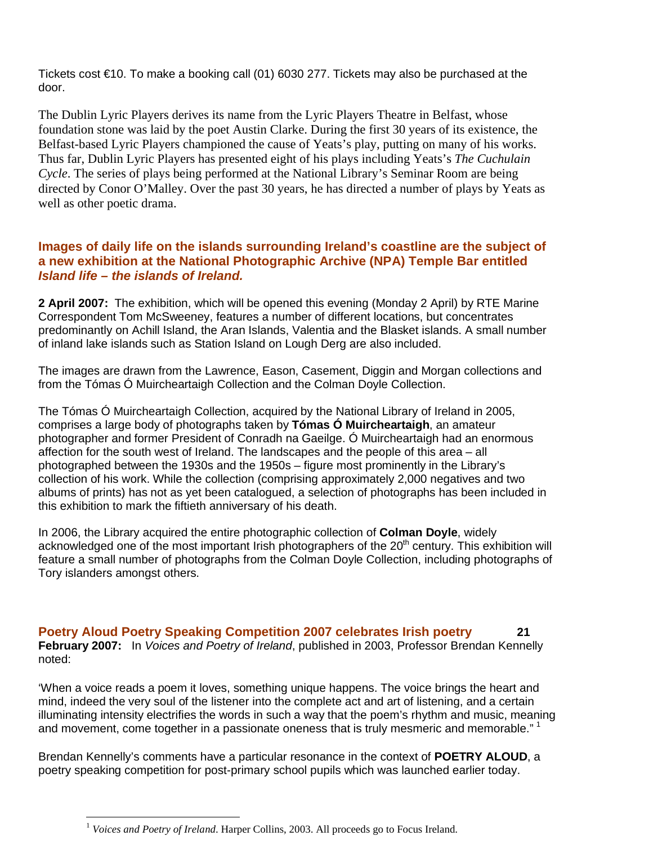Tickets cost €10. To make a booking call (01) 6030 277. Tickets may also be purchased at the door.

The Dublin Lyric Players derives its name from the Lyric Players Theatre in Belfast, whose foundation stone was laid by the poet Austin Clarke. During the first 30 years of its existence, the Belfast-based Lyric Players championed the cause of Yeats's play, putting on many of his works. Thus far, Dublin Lyric Players has presented eight of his plays including Yeats's *The Cuchulain Cycle*. The series of plays being performed at the National Library's Seminar Room are being directed by Conor O'Malley. Over the past 30 years, he has directed a number of plays by Yeats as well as other poetic drama.

# **Images of daily life on the islands surrounding Ireland's coastline are the subject of a new exhibition at the National Photographic Archive (NPA) Temple Bar entitled**  *Island life – the islands of Ireland.*

**2 April 2007:** The exhibition, which will be opened this evening (Monday 2 April) by RTE Marine Correspondent Tom McSweeney, features a number of different locations, but concentrates predominantly on Achill Island, the Aran Islands, Valentia and the Blasket islands. A small number of inland lake islands such as Station Island on Lough Derg are also included.

The images are drawn from the Lawrence, Eason, Casement, Diggin and Morgan collections and from the Tómas Ó Muircheartaigh Collection and the Colman Doyle Collection.

The Tómas Ó Muircheartaigh Collection, acquired by the National Library of Ireland in 2005, comprises a large body of photographs taken by **Tómas Ó Muircheartaigh**, an amateur photographer and former President of Conradh na Gaeilge. Ó Muircheartaigh had an enormous affection for the south west of Ireland. The landscapes and the people of this area – all photographed between the 1930s and the 1950s – figure most prominently in the Library's collection of his work. While the collection (comprising approximately 2,000 negatives and two albums of prints) has not as yet been catalogued, a selection of photographs has been included in this exhibition to mark the fiftieth anniversary of his death.

In 2006, the Library acquired the entire photographic collection of **Colman Doyle**, widely acknowledged one of the most important Irish photographers of the 20<sup>th</sup> century. This exhibition will feature a small number of photographs from the Colman Doyle Collection, including photographs of Tory islanders amongst others.

**Poetry Aloud Poetry Speaking Competition 2007 celebrates Irish poetry 21 February 2007:** In *Voices and Poetry of Ireland*, published in 2003, Professor Brendan Kennelly noted:

'When a voice reads a poem it loves, something unique happens. The voice brings the heart and mind, indeed the very soul of the listener into the complete act and art of listening, and a certain illuminating intensity electrifies the words in such a way that the poem's rhythm and music, meaning and movement, come together in a passionate oneness that is truly mesmeric and memorable."<sup>1</sup>

Brendan Kennelly's comments have a particular resonance in the context of **POETRY ALOUD**, a poetry speaking competition for post-primary school pupils which was launched earlier today.

 $\overline{a}$ <sup>1</sup> *Voices and Poetry of Ireland*. Harper Collins, 2003. All proceeds go to Focus Ireland.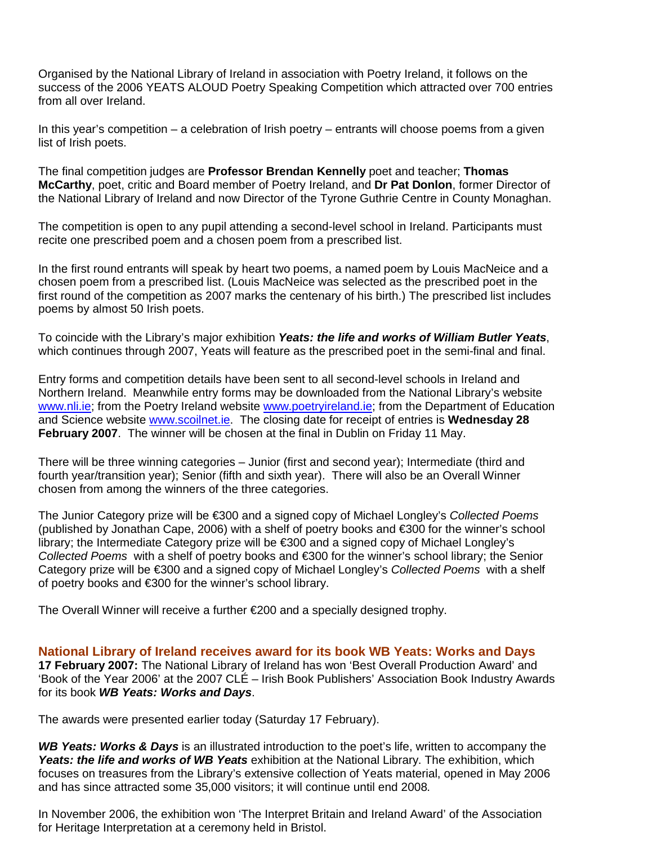Organised by the National Library of Ireland in association with Poetry Ireland, it follows on the success of the 2006 YEATS ALOUD Poetry Speaking Competition which attracted over 700 entries from all over Ireland.

In this year's competition – a celebration of Irish poetry – entrants will choose poems from a given list of Irish poets.

The final competition judges are **Professor Brendan Kennelly** poet and teacher; **Thomas McCarthy**, poet, critic and Board member of Poetry Ireland, and **Dr Pat Donlon**, former Director of the National Library of Ireland and now Director of the Tyrone Guthrie Centre in County Monaghan.

The competition is open to any pupil attending a second-level school in Ireland. Participants must recite one prescribed poem and a chosen poem from a prescribed list.

In the first round entrants will speak by heart two poems, a named poem by Louis MacNeice and a chosen poem from a prescribed list. (Louis MacNeice was selected as the prescribed poet in the first round of the competition as 2007 marks the centenary of his birth.) The prescribed list includes poems by almost 50 Irish poets.

To coincide with the Library's major exhibition *Yeats: the life and works of William Butler Yeats*, which continues through 2007, Yeats will feature as the prescribed poet in the semi-final and final.

Entry forms and competition details have been sent to all second-level schools in Ireland and Northern Ireland. Meanwhile entry forms may be downloaded from the National Library's website www.nli.ie; from the Poetry Ireland website www.poetryireland.ie; from the Department of Education and Science website www.scoilnet.ie. The closing date for receipt of entries is **Wednesday 28 February 2007**. The winner will be chosen at the final in Dublin on Friday 11 May.

There will be three winning categories – Junior (first and second year); Intermediate (third and fourth year/transition year); Senior (fifth and sixth year). There will also be an Overall Winner chosen from among the winners of the three categories.

The Junior Category prize will be €300 and a signed copy of Michael Longley's *Collected Poems* (published by Jonathan Cape, 2006) with a shelf of poetry books and €300 for the winner's school library; the Intermediate Category prize will be €300 and a signed copy of Michael Longley's *Collected Poems*with a shelf of poetry books and €300 for the winner's school library; the Senior Category prize will be €300 and a signed copy of Michael Longley's *Collected Poems*with a shelf of poetry books and €300 for the winner's school library.

The Overall Winner will receive a further €200 and a specially designed trophy.

**National Library of Ireland receives award for its book WB Yeats: Works and Days 17 February 2007:** The National Library of Ireland has won 'Best Overall Production Award' and 'Book of the Year 2006' at the 2007 CLÉ – Irish Book Publishers' Association Book Industry Awards for its book *WB Yeats: Works and Days*.

The awards were presented earlier today (Saturday 17 February).

*WB Yeats: Works & Days* is an illustrated introduction to the poet's life, written to accompany the *Yeats: the life and works of WB Yeats* exhibition at the National Library. The exhibition, which focuses on treasures from the Library's extensive collection of Yeats material, opened in May 2006 and has since attracted some 35,000 visitors; it will continue until end 2008.

In November 2006, the exhibition won 'The Interpret Britain and Ireland Award' of the Association for Heritage Interpretation at a ceremony held in Bristol.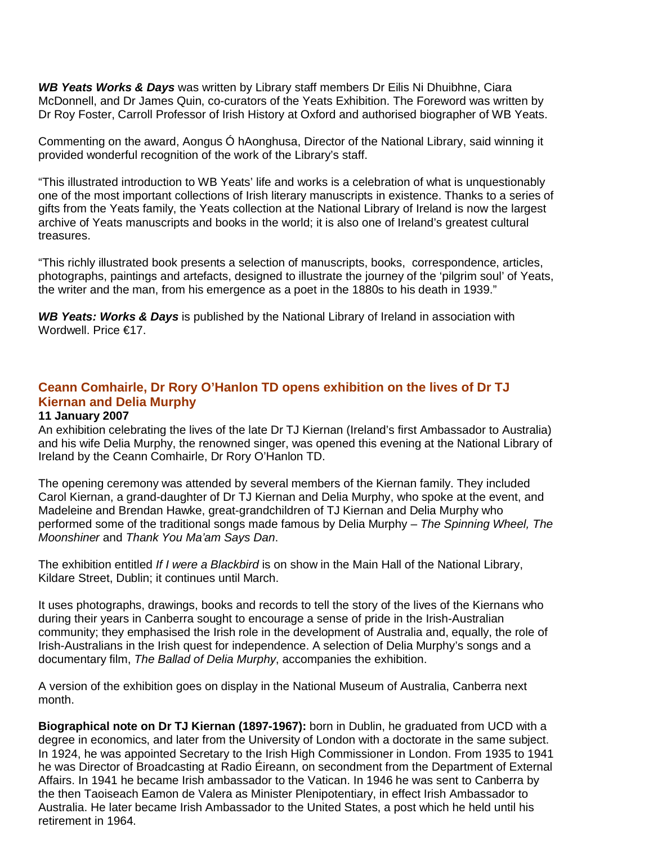*WB Yeats Works & Days* was written by Library staff members Dr Eilis Ni Dhuibhne, Ciara McDonnell, and Dr James Quin, co-curators of the Yeats Exhibition. The Foreword was written by Dr Roy Foster, Carroll Professor of Irish History at Oxford and authorised biographer of WB Yeats.

Commenting on the award, Aongus Ó hAonghusa, Director of the National Library, said winning it provided wonderful recognition of the work of the Library's staff.

"This illustrated introduction to WB Yeats' life and works is a celebration of what is unquestionably one of the most important collections of Irish literary manuscripts in existence. Thanks to a series of gifts from the Yeats family, the Yeats collection at the National Library of Ireland is now the largest archive of Yeats manuscripts and books in the world; it is also one of Ireland's greatest cultural treasures.

"This richly illustrated book presents a selection of manuscripts, books, correspondence, articles, photographs, paintings and artefacts, designed to illustrate the journey of the 'pilgrim soul' of Yeats, the writer and the man, from his emergence as a poet in the 1880s to his death in 1939."

*WB Yeats: Works & Days* is published by the National Library of Ireland in association with Wordwell. Price €17.

# **Ceann Comhairle, Dr Rory O'Hanlon TD opens exhibition on the lives of Dr TJ Kiernan and Delia Murphy**

#### **11 January 2007**

An exhibition celebrating the lives of the late Dr TJ Kiernan (Ireland's first Ambassador to Australia) and his wife Delia Murphy, the renowned singer, was opened this evening at the National Library of Ireland by the Ceann Comhairle, Dr Rory O'Hanlon TD.

The opening ceremony was attended by several members of the Kiernan family. They included Carol Kiernan, a grand-daughter of Dr TJ Kiernan and Delia Murphy, who spoke at the event, and Madeleine and Brendan Hawke, great-grandchildren of TJ Kiernan and Delia Murphy who performed some of the traditional songs made famous by Delia Murphy – *The Spinning Wheel, The Moonshiner* and *Thank You Ma'am Says Dan*.

The exhibition entitled *If I were a Blackbird* is on show in the Main Hall of the National Library, Kildare Street, Dublin; it continues until March.

It uses photographs, drawings, books and records to tell the story of the lives of the Kiernans who during their years in Canberra sought to encourage a sense of pride in the Irish-Australian community; they emphasised the Irish role in the development of Australia and, equally, the role of Irish-Australians in the Irish quest for independence. A selection of Delia Murphy's songs and a documentary film, *The Ballad of Delia Murphy*, accompanies the exhibition.

A version of the exhibition goes on display in the National Museum of Australia, Canberra next month.

**Biographical note on Dr TJ Kiernan (1897-1967):** born in Dublin, he graduated from UCD with a degree in economics, and later from the University of London with a doctorate in the same subject. In 1924, he was appointed Secretary to the Irish High Commissioner in London. From 1935 to 1941 he was Director of Broadcasting at Radio Éireann, on secondment from the Department of External Affairs. In 1941 he became Irish ambassador to the Vatican. In 1946 he was sent to Canberra by the then Taoiseach Eamon de Valera as Minister Plenipotentiary, in effect Irish Ambassador to Australia. He later became Irish Ambassador to the United States, a post which he held until his retirement in 1964.